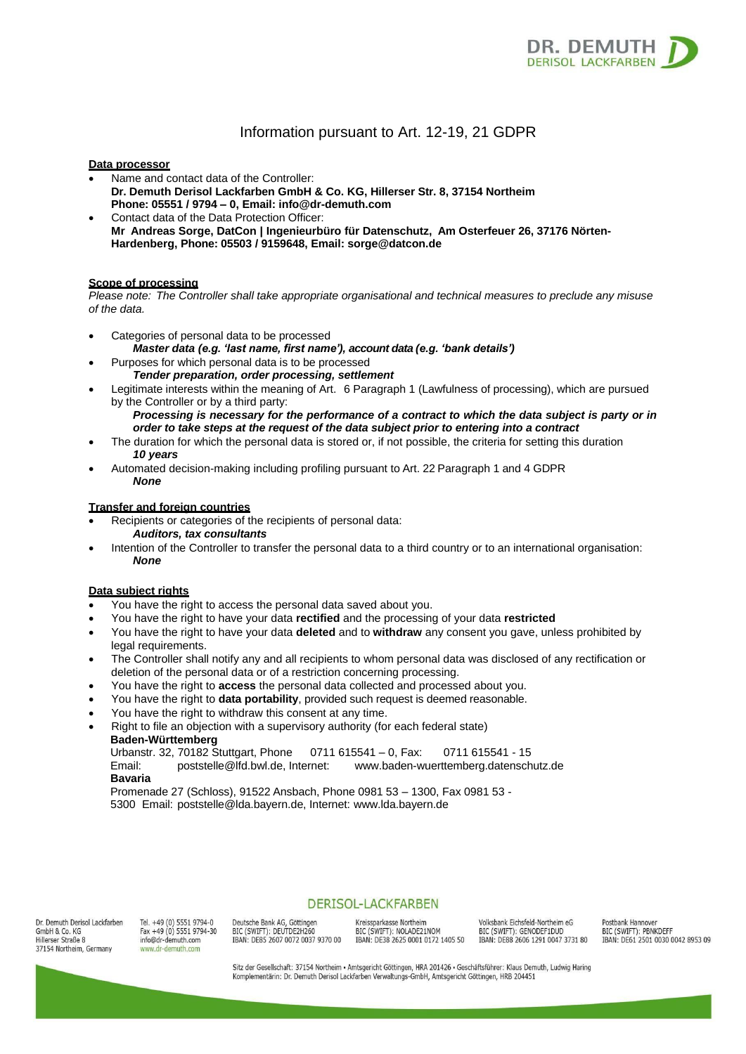

# Information pursuant to Art. 12-19, 21 GDPR

## **Data processor**

- Name and contact data of the Controller: **Dr. Demuth Derisol Lackfarben GmbH & Co. KG, Hillerser Str. 8, 37154 Northeim Phone: 05551 / 9794 – 0, Email: [info@dr-demuth.com](mailto:info@dr-demuth.com)**
- Contact data of the Data Protection Officer: **Mr Andreas Sorge, DatCon | Ingenieurbüro für Datenschutz, Am Osterfeuer 26, 37176 Nörten-Hardenberg, Phone: 05503 / 9159648, Email: [sorge@datcon.de](mailto:sorge@datcon.de)**

## **Scope of processing**

*Please note: The Controller shall take appropriate organisational and technical measures to preclude any misuse of the data.*

- Categories of personal data to be processed
	- *Master data (e.g. 'last name, first name'), account data (e.g. 'bank details')*
- Purposes for which personal data is to be processed *Tender preparation, order processing, settlement*
- Legitimate interests within the meaning of Art. 6 Paragraph 1 (Lawfulness of processing), which are pursued by the Controller or by a third party:

*Processing is necessary for the performance of a contract to which the data subject is party or in order to take steps at the request of the data subject prior to entering into a contract*

- The duration for which the personal data is stored or, if not possible, the criteria for setting this duration *10 years*
- Automated decision-making including profiling pursuant to Art. 22 Paragraph 1 and 4 GDPR *None*

## **Transfer and foreign countries**

- Recipients or categories of the recipients of personal data:
	- *Auditors, tax consultants*
- Intention of the Controller to transfer the personal data to a third country or to an international organisation: *None*

## **Data subject rights**

- You have the right to access the personal data saved about you.
- You have the right to have your data **rectified** and the processing of your data **restricted**
- You have the right to have your data **deleted** and to **withdraw** any consent you gave, unless prohibited by legal requirements.
- The Controller shall notify any and all recipients to whom personal data was disclosed of any rectification or deletion of the personal data or of a restriction concerning processing.
- You have the right to **access** the personal data collected and processed about you.
- You have the right to **data portability**, provided such request is deemed reasonable.
- You have the right to withdraw this consent at any time.
- Right to file an objection with a supervisory authority (for each federal state)

**Baden-Württemberg** Urbanstr. 32, 70182 Stuttgart, Phone 0711 615541 – 0, Fax: 0711 615541 - 15 Email: [poststelle@lfd.bwl.de,](mailto:poststelle@lfd.bwl.de) Internet: [www.baden-wuerttemberg.datenschutz.de](http://www.baden-wuerttemberg.datenschutz.de/) **Bavaria** Promenade 27 (Schloss), 91522 Ansbach, Phone 0981 53 – 1300, Fax 0981 53 -

5300 Email: [poststelle@lda.bayern.de,](mailto:poststelle@lda.bayern.de) Internet: [www.lda.bayern.de](http://www.lda.bayern.de/)

Dr. Demuth Derisol Lackfarben GmbH & Co. KG Hillerser Straße 8 37154 Northeim, Germany

Tel +49 (0) 5551 9794-0 Fax +49 (0) 5551 9794-30 info@dr-demuth.com w dr-demuth com

Deutsche Bank AG, Göttingen BIC (SWIFT): DEUTDE2H260 IBAN: DE85 2607 0072 0037 9370 00

Kreissparkasse Northeim BIC (SWIFT): NOLADE21NOM IBAN: DE38 2625 0001 0172 1405 50

**DERISOL-LACKFARBEN** 

Volksbank Fichsfeld-Northeim eG BIC (SWIFT): GENODEF1DUD IBAN: DE88 2606 1291 0047 3731 80 Postbank Hannover BIC (SWIFT): PBNKDEFF IBAN: DE61 2501 0030 0042 8953 09

Sitz der Gesellschaft: 37154 Northeim · Amtsgericht Göttingen, HRA 201426 · Geschäftsführer: Klaus Demuth, Ludwig Haring Komplementärin: Dr. Demuth Derisol Lackfarben Verwaltungs-GmbH, Amtsgericht Göttingen, HRB 204451